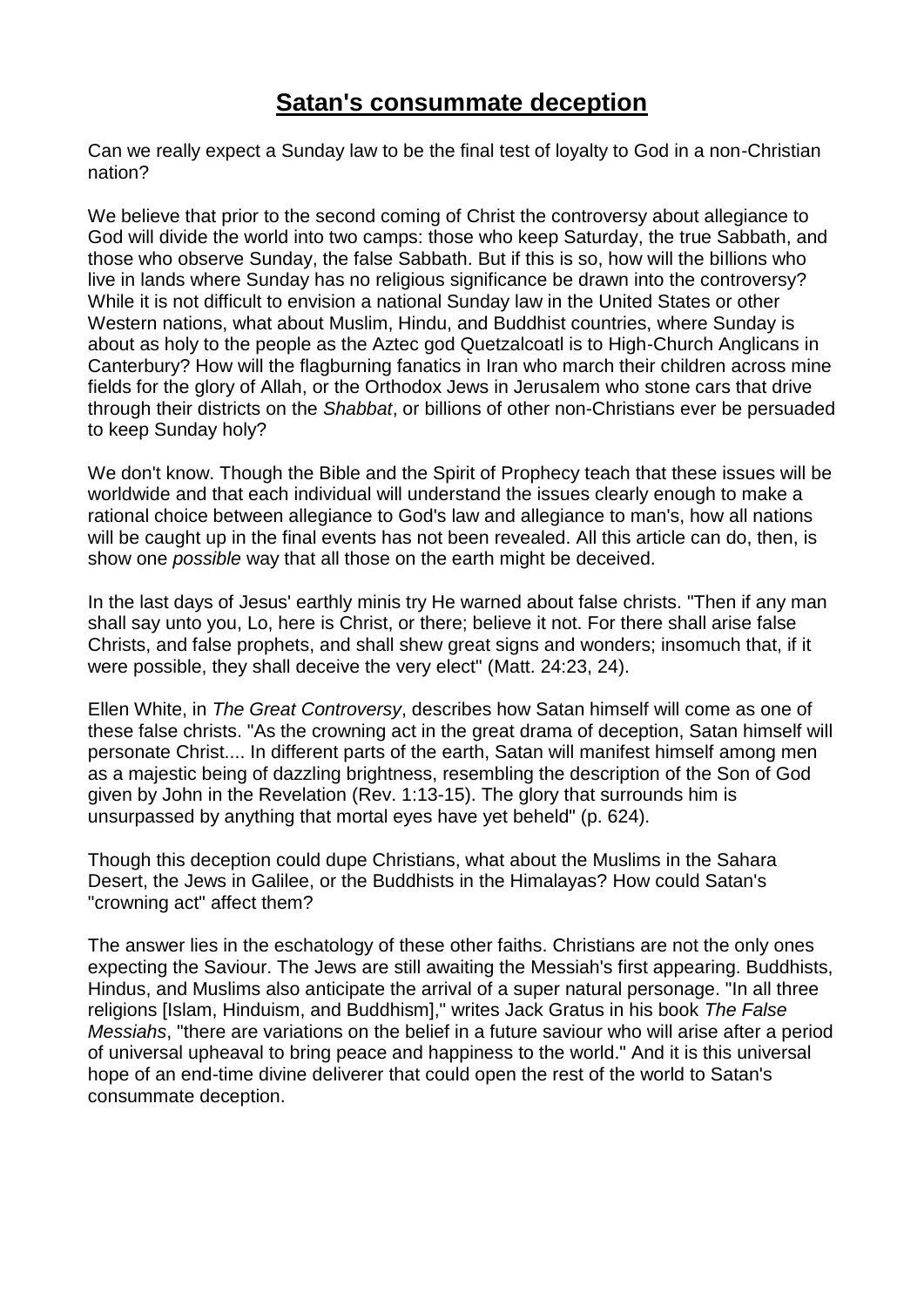# **[Satan's consummate deception](https://www.ministrymagazine.org/)**

Can we really expect a Sunday law to be the final test of loyalty to God in a non-Christian nation?

We believe that prior to the second coming of Christ the controversy about allegiance to God will divide the world into two camps: those who keep Saturday, the true Sabbath, and those who observe Sunday, the false Sabbath. But if this is so, how will the billions who live in lands where Sunday has no religious significance be drawn into the controversy? While it is not difficult to envision a national Sunday law in the United States or other Western nations, what about Muslim, Hindu, and Buddhist countries, where Sunday is about as holy to the people as the Aztec god Quetzalcoatl is to High-Church Anglicans in Canterbury? How will the flagburning fanatics in Iran who march their children across mine fields for the glory of Allah, or the Orthodox Jews in Jerusalem who stone cars that drive through their districts on the *Shabbat*, or billions of other non-Christians ever be persuaded to keep Sunday holy?

We don't know. Though the Bible and the Spirit of Prophecy teach that these issues will be worldwide and that each individual will understand the issues clearly enough to make a rational choice between allegiance to God's law and allegiance to man's, how all nations will be caught up in the final events has not been revealed. All this article can do, then, is show one *possible* way that all those on the earth might be deceived.

In the last days of Jesus' earthly minis try He warned about false christs. "Then if any man shall say unto you, Lo, here is Christ, or there; believe it not. For there shall arise false Christs, and false prophets, and shall shew great signs and wonders; insomuch that, if it were possible, they shall deceive the very elect" (Matt. [24:23,](https://biblia.com/bible/esv/Matt.%2024.23) [24\)](https://biblia.com/bible/esv/Matt%2024.24).

Ellen White, in *The Great Controversy*, describes how Satan himself will come as one of these false christs. "As the crowning act in the great drama of deception, Satan himself will personate Christ.... In different parts of the earth, Satan will manifest himself among men as a majestic being of dazzling brightness, resembling the description of the Son of God given by John in the Revelation (Rev. [1:13-15\)](https://biblia.com/bible/esv/Rev.%201.13-15). The glory that surrounds him is unsurpassed by anything that mortal eyes have yet beheld" (p. 624).

Though this deception could dupe Christians, what about the Muslims in the Sahara Desert, the Jews in Galilee, or the Buddhists in the Himalayas? How could Satan's "crowning act" affect them?

The answer lies in the eschatology of these other faiths. Christians are not the only ones expecting the Saviour. The Jews are still awaiting the Messiah's first appearing. Buddhists, Hindus, and Muslims also anticipate the arrival of a super natural personage. "In all three religions [Islam, Hinduism, and Buddhism]," writes Jack Gratus in his book *The False Messiahs*, "there are variations on the belief in a future saviour who will arise after a period of universal upheaval to bring peace and happiness to the world." And it is this universal hope of an end-time divine deliverer that could open the rest of the world to Satan's consummate deception.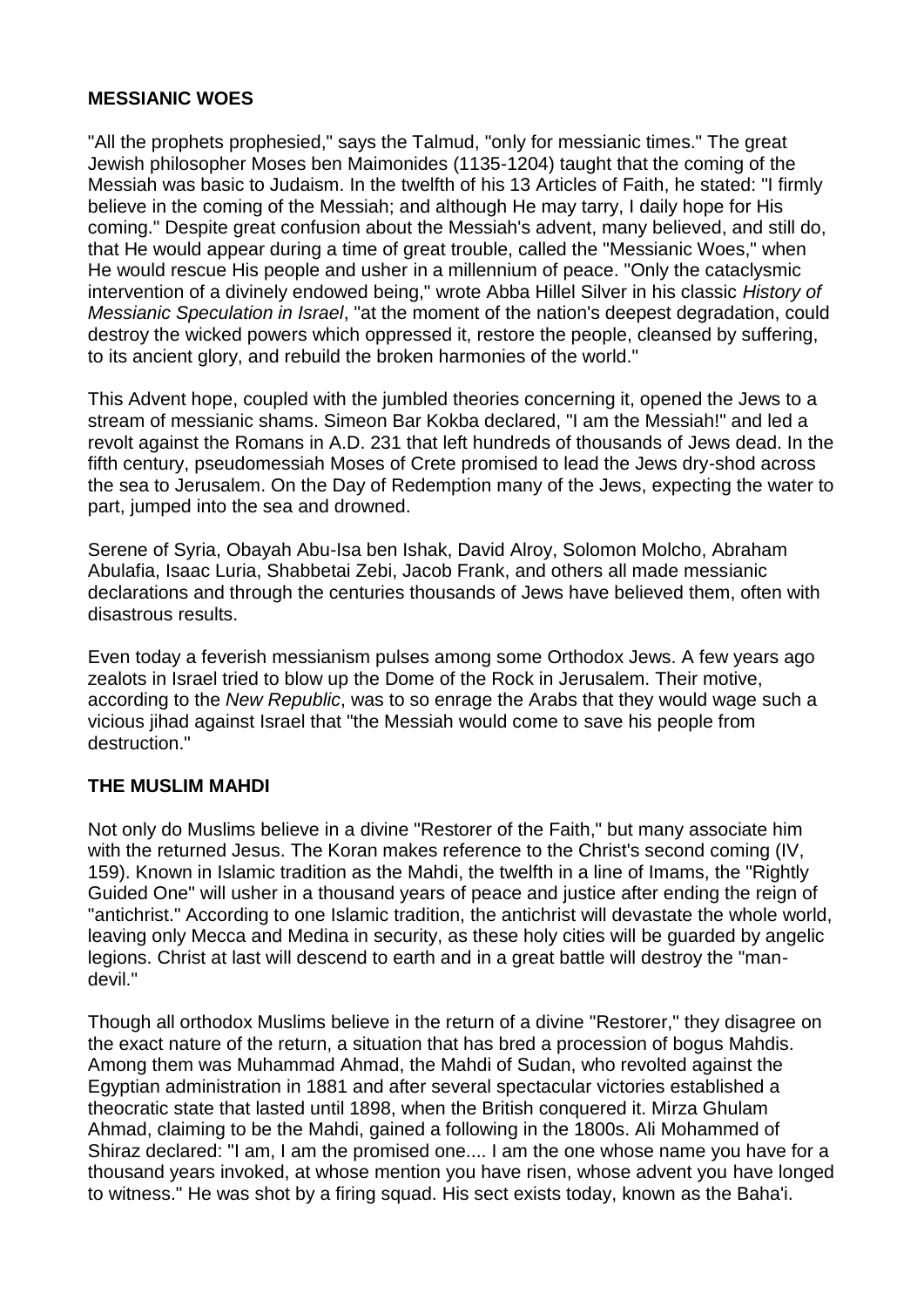#### **MESSIANIC WOES**

"All the prophets prophesied," says the Talmud, "only for messianic times." The great Jewish philosopher Moses ben Maimonides (1135-1204) taught that the coming of the Messiah was basic to Judaism. In the twelfth of his 13 Articles of Faith, he stated: "I firmly believe in the coming of the Messiah; and although He may tarry, I daily hope for His coming." Despite great confusion about the Messiah's advent, many believed, and still do, that He would appear during a time of great trouble, called the "Messianic Woes," when He would rescue His people and usher in a millennium of peace. "Only the cataclysmic intervention of a divinely endowed being," wrote Abba Hillel Silver in his classic *History of Messianic Speculation in Israel*, "at the moment of the nation's deepest degradation, could destroy the wicked powers which oppressed it, restore the people, cleansed by suffering, to its ancient glory, and rebuild the broken harmonies of the world."

This Advent hope, coupled with the jumbled theories concerning it, opened the Jews to a stream of messianic shams. Simeon Bar Kokba declared, "I am the Messiah!" and led a revolt against the Romans in A.D. 231 that left hundreds of thousands of Jews dead. In the fifth century, pseudomessiah Moses of Crete promised to lead the Jews dry-shod across the sea to Jerusalem. On the Day of Redemption many of the Jews, expecting the water to part, jumped into the sea and drowned.

Serene of Syria, Obayah Abu-Isa ben Ishak, David Alroy, Solomon Molcho, Abraham Abulafia, Isaac Luria, Shabbetai Zebi, Jacob Frank, and others all made messianic declarations and through the centuries thousands of Jews have believed them, often with disastrous results.

Even today a feverish messianism pulses among some Orthodox Jews. A few years ago zealots in Israel tried to blow up the Dome of the Rock in Jerusalem. Their motive, according to the *New Republic*, was to so enrage the Arabs that they would wage such a vicious jihad against Israel that "the Messiah would come to save his people from destruction."

#### **THE MUSLIM MAHDI**

Not only do Muslims believe in a divine "Restorer of the Faith," but many associate him with the returned Jesus. The Koran makes reference to the Christ's second coming (IV, 159). Known in Islamic tradition as the Mahdi, the twelfth in a line of Imams, the "Rightly Guided One" will usher in a thousand years of peace and justice after ending the reign of "antichrist." According to one Islamic tradition, the antichrist will devastate the whole world, leaving only Mecca and Medina in security, as these holy cities will be guarded by angelic legions. Christ at last will descend to earth and in a great battle will destroy the "mandevil."

Though all orthodox Muslims believe in the return of a divine "Restorer," they disagree on the exact nature of the return, a situation that has bred a procession of bogus Mahdis. Among them was Muhammad Ahmad, the Mahdi of Sudan, who revolted against the Egyptian administration in 1881 and after several spectacular victories established a theocratic state that lasted until 1898, when the British conquered it. Mirza Ghulam Ahmad, claiming to be the Mahdi, gained a following in the 1800s. Ali Mohammed of Shiraz declared: "I am, I am the promised one.... I am the one whose name you have for a thousand years invoked, at whose mention you have risen, whose advent you have longed to witness." He was shot by a firing squad. His sect exists today, known as the Baha'i.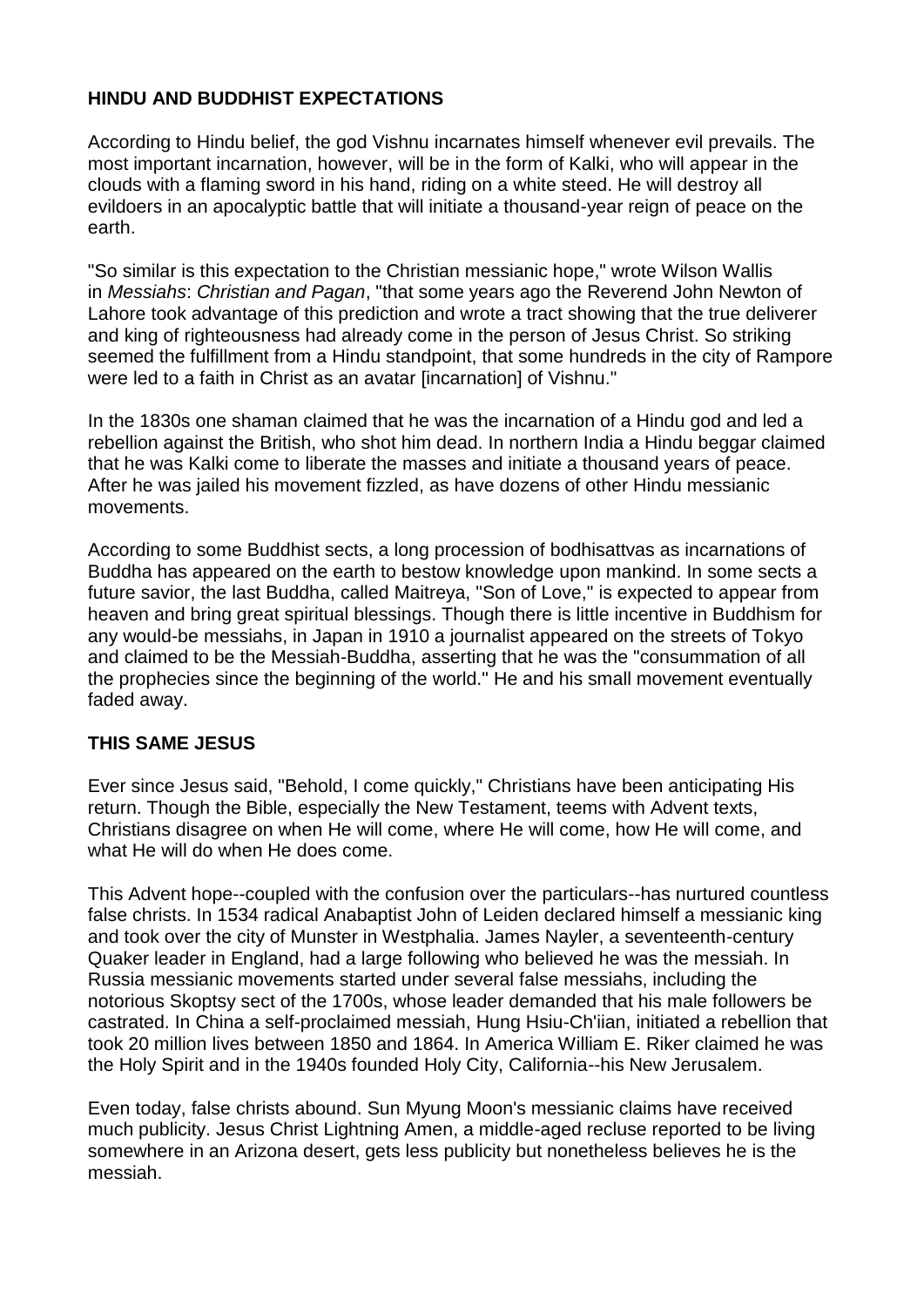# **HINDU AND BUDDHIST EXPECTATIONS**

According to Hindu belief, the god Vishnu incarnates himself whenever evil prevails. The most important incarnation, however, will be in the form of Kalki, who will appear in the clouds with a flaming sword in his hand, riding on a white steed. He will destroy all evildoers in an apocalyptic battle that will initiate a thousand-year reign of peace on the earth.

"So similar is this expectation to the Christian messianic hope," wrote Wilson Wallis in *Messiahs*: *Christian and Pagan*, "that some years ago the Reverend John Newton of Lahore took advantage of this prediction and wrote a tract showing that the true deliverer and king of righteousness had already come in the person of Jesus Christ. So striking seemed the fulfillment from a Hindu standpoint, that some hundreds in the city of Rampore were led to a faith in Christ as an avatar [incarnation] of Vishnu."

In the 1830s one shaman claimed that he was the incarnation of a Hindu god and led a rebellion against the British, who shot him dead. In northern India a Hindu beggar claimed that he was Kalki come to liberate the masses and initiate a thousand years of peace. After he was jailed his movement fizzled, as have dozens of other Hindu messianic movements.

According to some Buddhist sects, a long procession of bodhisattvas as incarnations of Buddha has appeared on the earth to bestow knowledge upon mankind. In some sects a future savior, the last Buddha, called Maitreya, "Son of Love," is expected to appear from heaven and bring great spiritual blessings. Though there is little incentive in Buddhism for any would-be messiahs, in Japan in 1910 a journalist appeared on the streets of Tokyo and claimed to be the Messiah-Buddha, asserting that he was the "consummation of all the prophecies since the beginning of the world." He and his small movement eventually faded away.

## **THIS SAME JESUS**

Ever since Jesus said, "Behold, I come quickly," Christians have been anticipating His return. Though the Bible, especially the New Testament, teems with Advent texts, Christians disagree on when He will come, where He will come, how He will come, and what He will do when He does come.

This Advent hope--coupled with the confusion over the particulars--has nurtured countless false christs. In 1534 radical Anabaptist John of Leiden declared himself a messianic king and took over the city of Munster in Westphalia. James Nayler, a seventeenth-century Quaker leader in England, had a large following who believed he was the messiah. In Russia messianic movements started under several false messiahs, including the notorious Skoptsy sect of the 1700s, whose leader demanded that his male followers be castrated. In China a self-proclaimed messiah, Hung Hsiu-Ch'iian, initiated a rebellion that took 20 million lives between 1850 and 1864. In America William E. Riker claimed he was the Holy Spirit and in the 1940s founded Holy City, California--his New Jerusalem.

Even today, false christs abound. Sun Myung Moon's messianic claims have received much publicity. Jesus Christ Lightning Amen, a middle-aged recluse reported to be living somewhere in an Arizona desert, gets less publicity but nonetheless believes he is the messiah.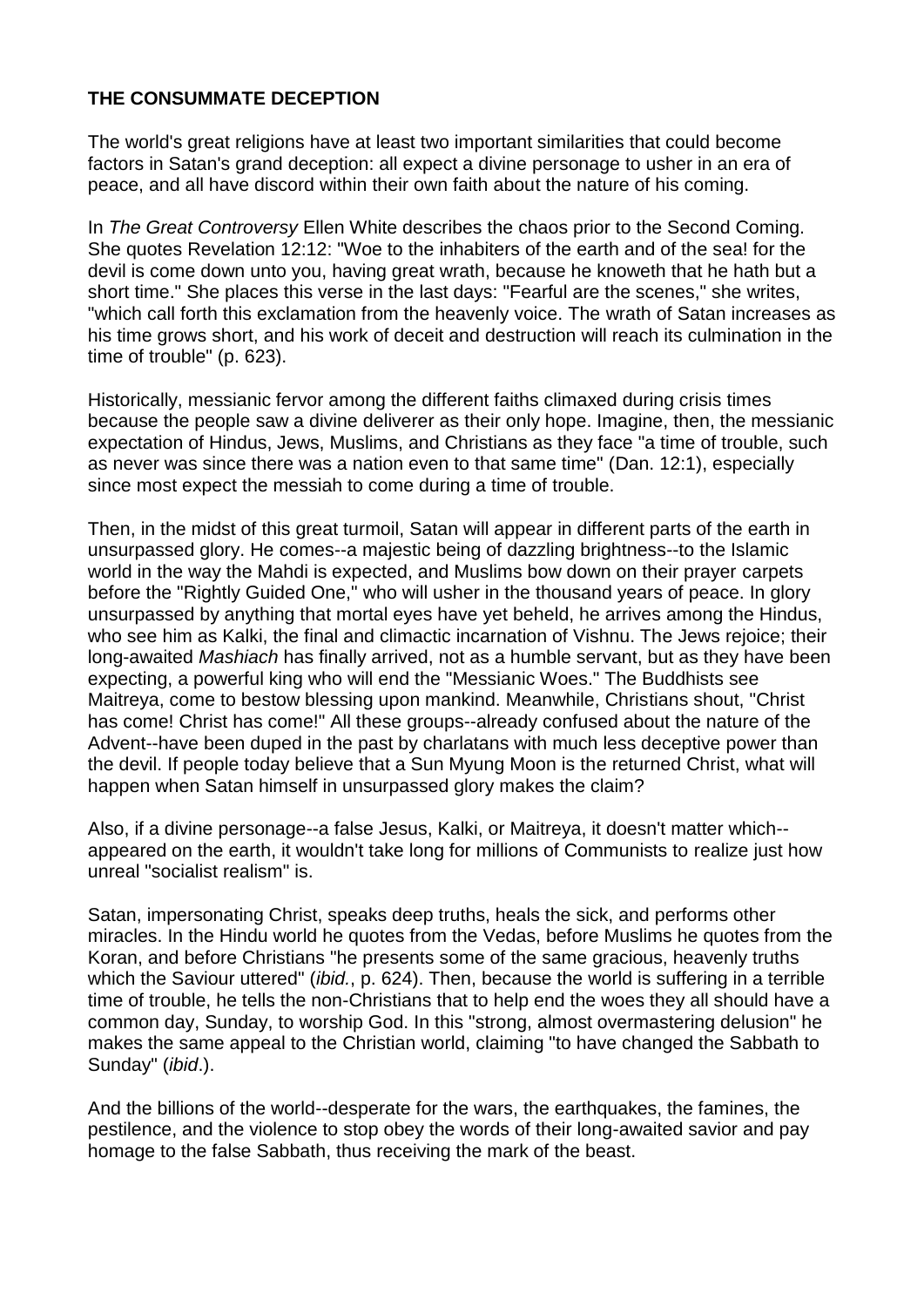## **THE CONSUMMATE DECEPTION**

The world's great religions have at least two important similarities that could become factors in Satan's grand deception: all expect a divine personage to usher in an era of peace, and all have discord within their own faith about the nature of his coming.

In *The Great Controversy* Ellen White describes the chaos prior to the Second Coming. She quotes [Revelation](https://biblia.com/bible/esv/Rev%2012.12) 12:12: "Woe to the inhabiters of the earth and of the sea! for the devil is come down unto you, having great wrath, because he knoweth that he hath but a short time." She places this verse in the last days: "Fearful are the scenes," she writes, "which call forth this exclamation from the heavenly voice. The wrath of Satan increases as his time grows short, and his work of deceit and destruction will reach its culmination in the time of trouble" (p. 623).

Historically, messianic fervor among the different faiths climaxed during crisis times because the people saw a divine deliverer as their only hope. Imagine, then, the messianic expectation of Hindus, Jews, Muslims, and Christians as they face "a time of trouble, such as never was since there was a nation even to that same time" [\(Dan.](https://biblia.com/bible/esv/Dan.%2012.1) 12:1), especially since most expect the messiah to come during a time of trouble.

Then, in the midst of this great turmoil, Satan will appear in different parts of the earth in unsurpassed glory. He comes--a majestic being of dazzling brightness--to the Islamic world in the way the Mahdi is expected, and Muslims bow down on their prayer carpets before the "Rightly Guided One," who will usher in the thousand years of peace. In glory unsurpassed by anything that mortal eyes have yet beheld, he arrives among the Hindus, who see him as Kalki, the final and climactic incarnation of Vishnu. The Jews rejoice; their long-awaited *Mashiach* has finally arrived, not as a humble servant, but as they have been expecting, a powerful king who will end the "Messianic Woes." The Buddhists see Maitreya, come to bestow blessing upon mankind. Meanwhile, Christians shout, "Christ has come! Christ has come!" All these groups--already confused about the nature of the Advent--have been duped in the past by charlatans with much less deceptive power than the devil. If people today believe that a Sun Myung Moon is the returned Christ, what will happen when Satan himself in unsurpassed glory makes the claim?

Also, if a divine personage--a false Jesus, Kalki, or Maitreya, it doesn't matter which- appeared on the earth, it wouldn't take long for millions of Communists to realize just how unreal "socialist realism" is.

Satan, impersonating Christ, speaks deep truths, heals the sick, and performs other miracles. In the Hindu world he quotes from the Vedas, before Muslims he quotes from the Koran, and before Christians "he presents some of the same gracious, heavenly truths which the Saviour uttered" (*ibid.*, p. 624). Then, because the world is suffering in a terrible time of trouble, he tells the non-Christians that to help end the woes they all should have a common day, Sunday, to worship God. In this "strong, almost overmastering delusion" he makes the same appeal to the Christian world, claiming "to have changed the Sabbath to Sunday" (*ibid*.).

And the billions of the world--desperate for the wars, the earthquakes, the famines, the pestilence, and the violence to stop obey the words of their long-awaited savior and pay homage to the false Sabbath, thus receiving the mark of the beast.